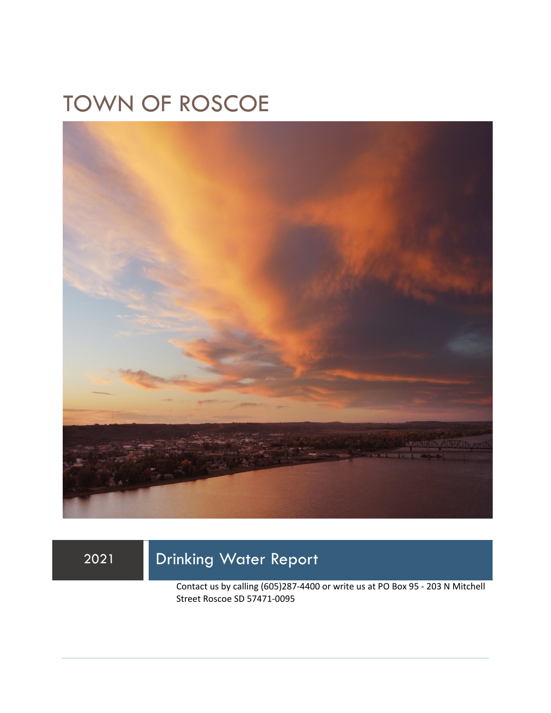# TOWN OF ROSCOE



## 2021 Drinking Water Report

Contact us by calling (605)287-4400 or write us at PO Box 95 - 203 N Mitchell Street Roscoe SD 57471-0095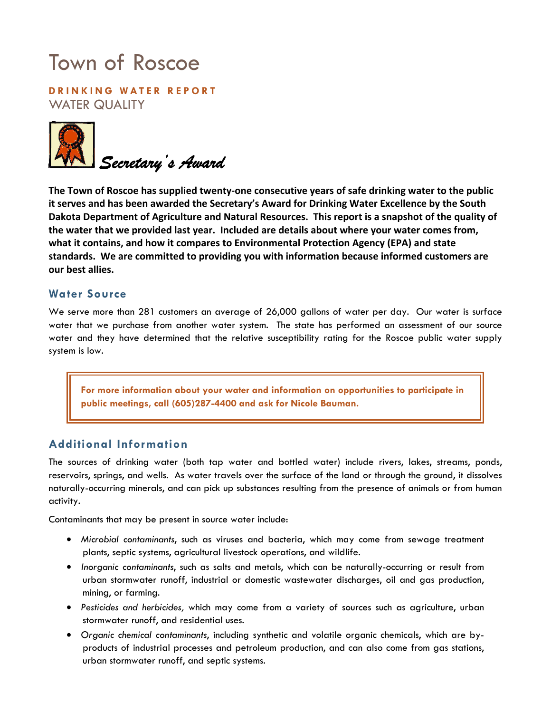# Town of Roscoe

**DRINKING WATER REPORT**  WATER QUALITY



**The Town of Roscoe has supplied twenty-one consecutive years of safe drinking water to the public it serves and has been awarded the Secretary's Award for Drinking Water Excellence by the South Dakota Department of Agriculture and Natural Resources. This report is a snapshot of the quality of the water that we provided last year. Included are details about where your water comes from, what it contains, and how it compares to Environmental Protection Agency (EPA) and state standards. We are committed to providing you with information because informed customers are our best allies.** 

### **Water Source**

We serve more than 281 customers an average of 26,000 gallons of water per day. Our water is surface water that we purchase from another water system. The state has performed an assessment of our source water and they have determined that the relative susceptibility rating for the Roscoe public water supply system is low.

**For more information about your water and information on opportunities to participate in public meetings, call (605)287-4400 and ask for Nicole Bauman.** 

### **Additional Information**

The sources of drinking water (both tap water and bottled water) include rivers, lakes, streams, ponds, reservoirs, springs, and wells. As water travels over the surface of the land or through the ground, it dissolves naturally-occurring minerals, and can pick up substances resulting from the presence of animals or from human activity.

Contaminants that may be present in source water include:

- *Microbial contaminants*, such as viruses and bacteria, which may come from sewage treatment plants, septic systems, agricultural livestock operations, and wildlife.
- *Inorganic contaminants*, such as salts and metals, which can be naturally-occurring or result from urban stormwater runoff, industrial or domestic wastewater discharges, oil and gas production, mining, or farming.
- *Pesticides and herbicides,* which may come from a variety of sources such as agriculture, urban stormwater runoff, and residential uses.
- *Organic chemical contaminants*, including synthetic and volatile organic chemicals, which are byproducts of industrial processes and petroleum production, and can also come from gas stations, urban stormwater runoff, and septic systems.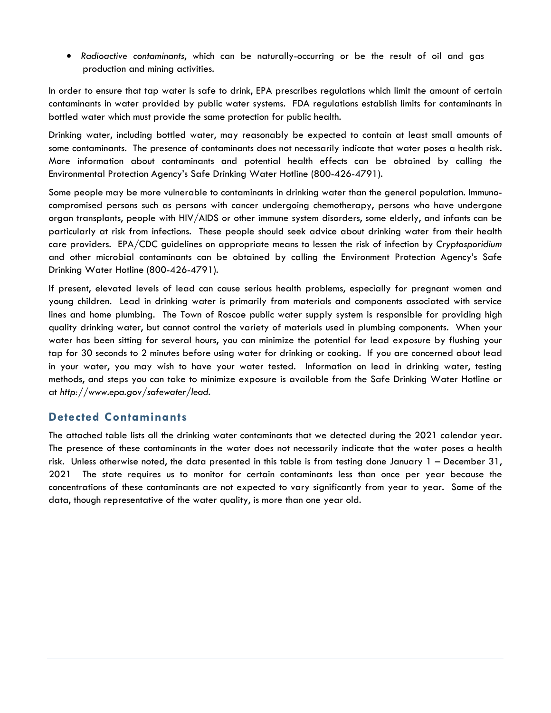• *Radioactive contaminants*, which can be naturally-occurring or be the result of oil and gas production and mining activities.

In order to ensure that tap water is safe to drink, EPA prescribes regulations which limit the amount of certain contaminants in water provided by public water systems. FDA regulations establish limits for contaminants in bottled water which must provide the same protection for public health.

Drinking water, including bottled water, may reasonably be expected to contain at least small amounts of some contaminants. The presence of contaminants does not necessarily indicate that water poses a health risk. More information about contaminants and potential health effects can be obtained by calling the Environmental Protection Agency's Safe Drinking Water Hotline (800-426-4791).

Some people may be more vulnerable to contaminants in drinking water than the general population. Immunocompromised persons such as persons with cancer undergoing chemotherapy, persons who have undergone organ transplants, people with HIV/AIDS or other immune system disorders, some elderly, and infants can be particularly at risk from infections. These people should seek advice about drinking water from their health care providers. EPA/CDC guidelines on appropriate means to lessen the risk of infection by *Cryptosporidium* and other microbial contaminants can be obtained by calling the Environment Protection Agency's Safe Drinking Water Hotline (800-426-4791).

If present, elevated levels of lead can cause serious health problems, especially for pregnant women and young children. Lead in drinking water is primarily from materials and components associated with service lines and home plumbing. The Town of Roscoe public water supply system is responsible for providing high quality drinking water, but cannot control the variety of materials used in plumbing components. When your water has been sitting for several hours, you can minimize the potential for lead exposure by flushing your tap for 30 seconds to 2 minutes before using water for drinking or cooking. If you are concerned about lead in your water, you may wish to have your water tested. Information on lead in drinking water, testing methods, and steps you can take to minimize exposure is available from the Safe Drinking Water Hotline or at *http://www.epa.gov/safewater/lead*.

### **Detected Contaminants**

The attached table lists all the drinking water contaminants that we detected during the 2021 calendar year. The presence of these contaminants in the water does not necessarily indicate that the water poses a health risk. Unless otherwise noted, the data presented in this table is from testing done January 1 – December 31, 2021 The state requires us to monitor for certain contaminants less than once per year because the concentrations of these contaminants are not expected to vary significantly from year to year. Some of the data, though representative of the water quality, is more than one year old.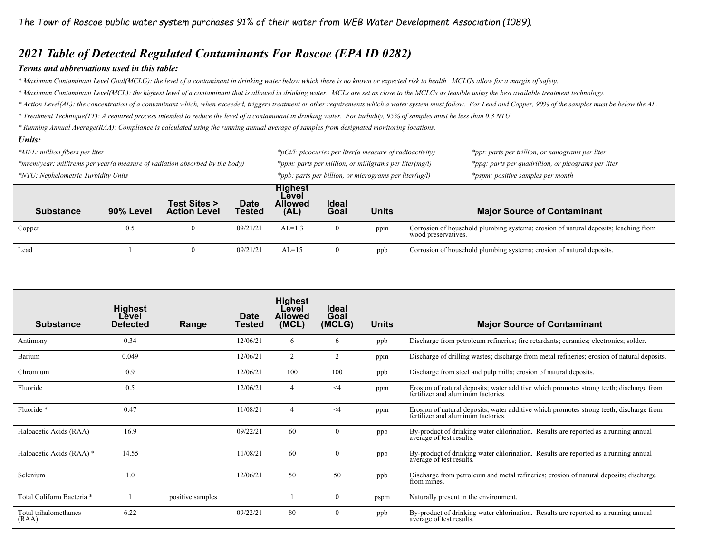### *2021 Table of Detected Regulated Contaminants For Roscoe (EPA ID 0282)*

#### *Terms and abbreviations used in this table:*

*\* Maximum Contaminant Level Goal(MCLG): the level of a contaminant in drinking water below which there is no known or expected risk to health. MCLGs allow for a margin of safety.* 

*\* Maximum Contaminant Level(MCL): the highest level of a contaminant that is allowed in drinking water. MCLs are set as close to the MCLGs as feasible using the best available treatment technology.* 

- *\* Action Level(AL): the concentration of a contaminant which, when exceeded, triggers treatment or other requirements which a water system must follow. For Lead and Copper, 90% of the samples must be below the AL.*
- *\* Treatment Technique(TT): A required process intended to reduce the level of a contaminant in drinking water. For turbidity, 95% of samples must be less than 0.3 NTU*

*\* Running Annual Average(RAA): Compliance is calculated using the running annual average of samples from designated monitoring locations.* 

#### *Units:*

| *MFL: million fibers per liter<br>*mrem/year: millirems per year(a measure of radiation absorbed by the body) |           |                                     |                              |                                                   |                      | $*_{p}$ Ci/l: picocuries per liter(a measure of radioactivity)                              | *ppt: parts per trillion, or nanograms per liter                                                           |  |  |
|---------------------------------------------------------------------------------------------------------------|-----------|-------------------------------------|------------------------------|---------------------------------------------------|----------------------|---------------------------------------------------------------------------------------------|------------------------------------------------------------------------------------------------------------|--|--|
|                                                                                                               |           |                                     |                              |                                                   |                      | *ppm: parts per million, or milligrams per liter(mg/l)                                      | *ppq: parts per quadrillion, or picograms per liter                                                        |  |  |
| *NTU: Nephelometric Turbidity Units                                                                           |           |                                     |                              |                                                   |                      | *ppb: parts per billion, or micrograms per liter(ug/l)<br>*pspm: positive samples per month |                                                                                                            |  |  |
| <b>Substance</b>                                                                                              | 90% Level | Test Sites ><br><b>Action Level</b> | <b>Date</b><br><b>Tested</b> | <b>Highest</b><br>Level<br><b>Allowed</b><br>(AL) | <b>Ideal</b><br>Goal | <b>Units</b>                                                                                | <b>Major Source of Contaminant</b>                                                                         |  |  |
| Copper                                                                                                        | 0.5       | $\bf{0}$                            | 09/21/21                     | $AL=1.3$                                          | $\mathbf{0}$         | ppm                                                                                         | Corrosion of household plumbing systems; erosion of natural deposits; leaching from<br>wood preservatives. |  |  |
| Lead                                                                                                          |           | $\bf{0}$                            | 09/21/21                     | $AL=15$                                           | 0                    | ppb                                                                                         | Corrosion of household plumbing systems; erosion of natural deposits.                                      |  |  |

| <b>Substance</b>               | <b>Highest</b><br>Level<br><b>Detected</b> | Range            | Date<br>Tested | <b>Highest</b><br>Level<br><b>Allowed</b><br>(MCL) | <b>Ideal</b><br>Goal<br>(MCLG) | <b>Units</b> | <b>Major Source of Contaminant</b>                                                                                         |
|--------------------------------|--------------------------------------------|------------------|----------------|----------------------------------------------------|--------------------------------|--------------|----------------------------------------------------------------------------------------------------------------------------|
| Antimony                       | 0.34                                       |                  | 12/06/21       | 6                                                  | 6                              | ppb          | Discharge from petroleum refineries; fire retardants; ceramics; electronics; solder.                                       |
| Barium                         | 0.049                                      |                  | 12/06/21       | 2                                                  | 2                              | ppm          | Discharge of drilling wastes; discharge from metal refineries; erosion of natural deposits.                                |
| Chromium                       | 0.9                                        |                  | 12/06/21       | 100                                                | 100                            | ppb          | Discharge from steel and pulp mills; erosion of natural deposits.                                                          |
| Fluoride                       | 0.5                                        |                  | 12/06/21       | $\overline{4}$                                     | $\leq$ 4                       | ppm          | Erosion of natural deposits; water additive which promotes strong teeth; discharge from fertilizer and aluminum factories. |
| Fluoride*                      | 0.47                                       |                  | 11/08/21       | $\overline{4}$                                     | $\leq 4$                       | ppm          | Erosion of natural deposits; water additive which promotes strong teeth; discharge from fertilizer and aluminum factories. |
| Haloacetic Acids (RAA)         | 16.9                                       |                  | 09/22/21       | 60                                                 | 0                              | ppb          | By-product of drinking water chlorination. Results are reported as a running annual<br>average of test results.            |
| Haloacetic Acids (RAA) *       | 14.55                                      |                  | 11/08/21       | 60                                                 | $\mathbf{0}$                   | ppb          | By-product of drinking water chlorination. Results are reported as a running annual<br>average of test results.            |
| Selenium                       | 1.0                                        |                  | 12/06/21       | 50                                                 | 50                             | ppb          | Discharge from petroleum and metal refineries; erosion of natural deposits; discharge<br>from mines.                       |
| Total Coliform Bacteria *      |                                            | positive samples |                |                                                    | $\bf{0}$                       | pspm         | Naturally present in the environment.                                                                                      |
| Total trihalomethanes<br>(RAA) | 6.22                                       |                  | 09/22/21       | 80                                                 | $\bf{0}$                       | ppb          | By-product of drinking water chlorination. Results are reported as a running annual<br>average of test results.            |